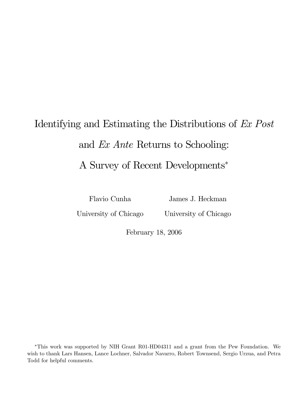# Identifying and Estimating the Distributions of Ex Post and Ex Ante Returns to Schooling: A Survey of Recent Developments<sup>∗</sup>

Flavio Cunha

James J. Heckman

University of Chicago

University of Chicago

February 18, 2006

∗This work was supported by NIH Grant R01-HD04311 and a grant from the Pew Foundation. We wish to thank Lars Hansen, Lance Lochner, Salvador Navarro, Robert Townsend, Sergio Urzua, and Petra Todd for helpful comments.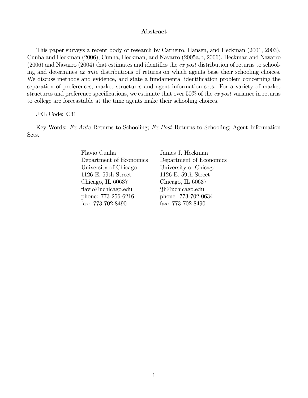#### Abstract

This paper surveys a recent body of research by Carneiro, Hansen, and Heckman (2001, 2003), Cunha and Heckman (2006), Cunha, Heckman, and Navarro (2005a,b, 2006), Heckman and Navarro (2006) and Navarro (2004) that estimates and identifies the ex post distribution of returns to schooling and determines ex ante distributions of returns on which agents base their schooling choices. We discuss methods and evidence, and state a fundamental identification problem concerning the separation of preferences, market structures and agent information sets. For a variety of market structures and preference specifications, we estimate that over 50% of the ex post variance in returns to college are forecastable at the time agents make their schooling choices.

#### JEL Code: C31

Key Words: Ex Ante Returns to Schooling; Ex Post Returns to Schooling; Agent Information Sets.

> Flavio Cunha James J. Heckman Department of Economics Department of Economics University of Chicago University of Chicago 1126 E. 59th Street 1126 E. 59th Street Chicago, IL 60637 Chicago, IL 60637 flavio@uchicago.edu jjh@uchicago.edu phone: 773-256-6216 phone: 773-702-0634 fax: 773-702-8490 fax: 773-702-8490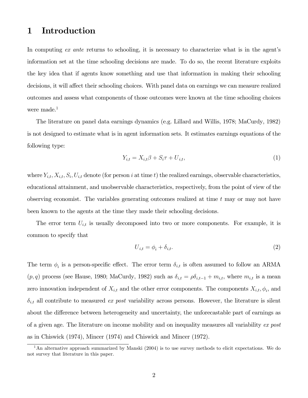### 1 Introduction

In computing ex ante returns to schooling, it is necessary to characterize what is in the agent's information set at the time schooling decisions are made. To do so, the recent literature exploits the key idea that if agents know something and use that information in making their schooling decisions, it will affect their schooling choices. With panel data on earnings we can measure realized outcomes and assess what components of those outcomes were known at the time schooling choices were made.<sup>1</sup>

The literature on panel data earnings dynamics (e.g. Lillard and Willis, 1978; MaCurdy, 1982) is not designed to estimate what is in agent information sets. It estimates earnings equations of the following type:

$$
Y_{i,t} = X_{i,t}\beta + S_i\tau + U_{i,t},\tag{1}
$$

where  $Y_{i,t}, X_{i,t}, S_i, U_{i,t}$  denote (for person i at time t) the realized earnings, observable characteristics, educational attainment, and unobservable characteristics, respectively, from the point of view of the observing economist. The variables generating outcomes realized at time  $t$  may or may not have been known to the agents at the time they made their schooling decisions.

The error term  $U_{i,t}$  is usually decomposed into two or more components. For example, it is common to specify that

$$
U_{i,t} = \phi_i + \delta_{i,t}.\tag{2}
$$

The term  $\phi_i$  is a person-specific effect. The error term  $\delta_{i,t}$  is often assumed to follow an ARMA  $(p, q)$  process (see Hause, 1980; MaCurdy, 1982) such as  $\delta_{i,t} = \rho \delta_{i,t-1} + m_{i,t}$ , where  $m_{i,t}$  is a mean zero innovation independent of  $X_{i,t}$  and the other error components. The components  $X_{i,t}$ ,  $\phi_i$ , and  $\delta_{i,t}$  all contribute to measured ex post variability across persons. However, the literature is silent about the difference between heterogeneity and uncertainty, the unforecastable part of earnings as of a given age. The literature on income mobility and on inequality measures all variability ex post as in Chiswick (1974), Mincer (1974) and Chiswick and Mincer (1972).

<sup>&</sup>lt;sup>1</sup>An alternative approach summarized by Manski (2004) is to use survey methods to elicit expectations. We do not survey that literature in this paper.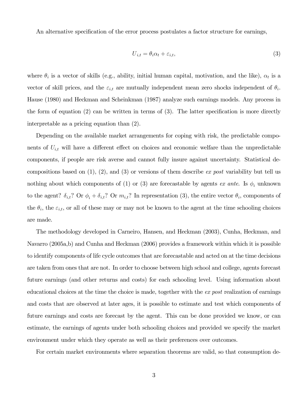An alternative specification of the error process postulates a factor structure for earnings,

$$
U_{i,t} = \theta_i \alpha_t + \varepsilon_{i,t},\tag{3}
$$

where  $\theta_i$  is a vector of skills (e.g., ability, initial human capital, motivation, and the like),  $\alpha_t$  is a vector of skill prices, and the  $\varepsilon_{i,t}$  are mutually independent mean zero shocks independent of  $\theta_i$ . Hause (1980) and Heckman and Scheinkman (1987) analyze such earnings models. Any process in the form of equation (2) can be written in terms of (3). The latter specification is more directly interpretable as a pricing equation than (2).

Depending on the available market arrangements for coping with risk, the predictable components of  $U_{i,t}$  will have a different effect on choices and economic welfare than the unpredictable components, if people are risk averse and cannot fully insure against uncertainty. Statistical decompositions based on  $(1)$ ,  $(2)$ , and  $(3)$  or versions of them describe *ex post* variability but tell us nothing about which components of (1) or (3) are forecastable by agents ex ante. Is  $\phi_i$  unknown to the agent?  $\delta_{i,t}$ ? Or  $\phi_i + \delta_{i,t}$ ? Or  $m_{i,t}$ ? In representation (3), the entire vector  $\theta_i$ , components of the  $\theta_i$ , the  $\varepsilon_{i,t}$ , or all of these may or may not be known to the agent at the time schooling choices are made.

The methodology developed in Carneiro, Hansen, and Heckman (2003), Cunha, Heckman, and Navarro (2005a,b) and Cunha and Heckman (2006) provides a framework within which it is possible to identify components of life cycle outcomes that are forecastable and acted on at the time decisions are taken from ones that are not. In order to choose between high school and college, agents forecast future earnings (and other returns and costs) for each schooling level. Using information about educational choices at the time the choice is made, together with the ex post realization of earnings and costs that are observed at later ages, it is possible to estimate and test which components of future earnings and costs are forecast by the agent. This can be done provided we know, or can estimate, the earnings of agents under both schooling choices and provided we specify the market environment under which they operate as well as their preferences over outcomes.

For certain market environments where separation theorems are valid, so that consumption de-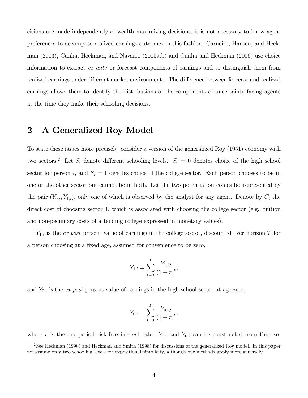cisions are made independently of wealth maximizing decisions, it is not necessary to know agent preferences to decompose realized earnings outcomes in this fashion. Carneiro, Hansen, and Heckman (2003), Cunha, Heckman, and Navarro (2005a,b) and Cunha and Heckman (2006) use choice information to extract ex ante or forecast components of earnings and to distinguish them from realized earnings under different market environments. The difference between forecast and realized earnings allows them to identify the distributions of the components of uncertainty facing agents at the time they make their schooling decisions.

### 2 A Generalized Roy Model

To state these issues more precisely, consider a version of the generalized Roy (1951) economy with two sectors.<sup>2</sup> Let  $S_i$  denote different schooling levels.  $S_i = 0$  denotes choice of the high school sector for person i, and  $S_i = 1$  denotes choice of the college sector. Each person chooses to be in one or the other sector but cannot be in both. Let the two potential outcomes be represented by the pair  $(Y_{0,i}, Y_{1,i})$ , only one of which is observed by the analyst for any agent. Denote by  $C_i$  the direct cost of choosing sector 1, which is associated with choosing the college sector (e.g., tuition and non-pecuniary costs of attending college expressed in monetary values).

 $Y_{1,i}$  is the ex post present value of earnings in the college sector, discounted over horizon T for a person choosing at a fixed age, assumed for convenience to be zero,

$$
Y_{1,i} = \sum_{t=0}^{T} \frac{Y_{1,i,t}}{(1+r)^t},
$$

and  $Y_{0,i}$  is the ex post present value of earnings in the high school sector at age zero,

$$
Y_{0,i} = \sum_{t=0}^{T} \frac{Y_{0,i,t}}{(1+r)^t},
$$

where r is the one-period risk-free interest rate.  $Y_{1,i}$  and  $Y_{0,i}$  can be constructed from time se-

<sup>&</sup>lt;sup>2</sup>See Heckman (1990) and Heckman and Smith (1998) for discussions of the generalized Roy model. In this paper we assume only two schooling levels for expositional simplicity, although our methods apply more generally.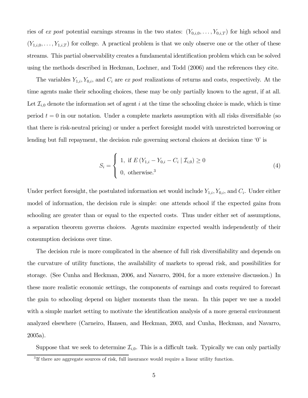ries of ex post potential earnings streams in the two states:  $(Y_{0,i,0},\ldots,Y_{0,i,T})$  for high school and  $(Y_{1,i,0},\ldots,Y_{1,i,T})$  for college. A practical problem is that we only observe one or the other of these streams. This partial observability creates a fundamental identification problem which can be solved using the methods described in Heckman, Lochner, and Todd (2006) and the references they cite.

The variables  $Y_{1,i}, Y_{0,i}$ , and  $C_i$  are ex post realizations of returns and costs, respectively. At the time agents make their schooling choices, these may be only partially known to the agent, if at all. Let  $\mathcal{I}_{i,0}$  denote the information set of agent i at the time the schooling choice is made, which is time period  $t = 0$  in our notation. Under a complete markets assumption with all risks diversifiable (so that there is risk-neutral pricing) or under a perfect foresight model with unrestricted borrowing or lending but full repayment, the decision rule governing sectoral choices at decision time '0' is

$$
S_{i} = \begin{cases} 1, & \text{if } E(Y_{1,i} - Y_{0,i} - C_{i} | \mathcal{I}_{i,0}) \ge 0 \\ 0, & \text{otherwise.} \end{cases}
$$
 (4)

Under perfect foresight, the postulated information set would include  $Y_{1,i}, Y_{0,i}$ , and  $C_i$ . Under either model of information, the decision rule is simple: one attends school if the expected gains from schooling are greater than or equal to the expected costs. Thus under either set of assumptions, a separation theorem governs choices. Agents maximize expected wealth independently of their consumption decisions over time.

The decision rule is more complicated in the absence of full risk diversifiability and depends on the curvature of utility functions, the availability of markets to spread risk, and possibilities for storage. (See Cunha and Heckman, 2006, and Navarro, 2004, for a more extensive discussion.) In these more realistic economic settings, the components of earnings and costs required to forecast the gain to schooling depend on higher moments than the mean. In this paper we use a model with a simple market setting to motivate the identification analysis of a more general environment analyzed elsewhere (Carneiro, Hansen, and Heckman, 2003, and Cunha, Heckman, and Navarro, 2005a).

Suppose that we seek to determine  $\mathcal{I}_{i,0}$ . This is a difficult task. Typically we can only partially

<sup>&</sup>lt;sup>3</sup>If there are aggregate sources of risk, full insurance would require a linear utility function.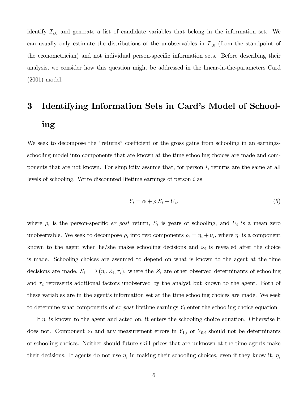identify  $\mathcal{I}_{i,0}$  and generate a list of candidate variables that belong in the information set. We can usually only estimate the distributions of the unobservables in  $\mathcal{I}_{i,0}$  (from the standpoint of the econometrician) and not individual person-specific information sets. Before describing their analysis, we consider how this question might be addressed in the linear-in-the-parameters Card (2001) model.

## 3 Identifying Information Sets in Card's Model of Schooling

We seek to decompose the "returns" coefficient or the gross gains from schooling in an earningsschooling model into components that are known at the time schooling choices are made and components that are not known. For simplicity assume that, for person  $i$ , returns are the same at all levels of schooling. Write discounted lifetime earnings of person i as

$$
Y_i = \alpha + \rho_i S_i + U_i,\tag{5}
$$

where  $\rho_i$  is the person-specific ex post return,  $S_i$  is years of schooling, and  $U_i$  is a mean zero unobservable. We seek to decompose  $\rho_i$  into two components  $\rho_i = \eta_i + \nu_i$ , where  $\eta_i$  is a component known to the agent when he/she makes schooling decisions and  $\nu_i$  is revealed after the choice is made. Schooling choices are assumed to depend on what is known to the agent at the time decisions are made,  $S_i = \lambda(\eta_i, Z_i, \tau_i)$ , where the  $Z_i$  are other observed determinants of schooling and  $\tau_i$  represents additional factors unobserved by the analyst but known to the agent. Both of these variables are in the agent's information set at the time schooling choices are made. We seek to determine what components of  $ex$  post lifetime earnings  $Y_i$  enter the schooling choice equation.

If  $\eta_i$  is known to the agent and acted on, it enters the schooling choice equation. Otherwise it does not. Component  $\nu_i$  and any measurement errors in  $Y_{1,i}$  or  $Y_{0,i}$  should not be determinants of schooling choices. Neither should future skill prices that are unknown at the time agents make their decisions. If agents do not use  $\eta_i$  in making their schooling choices, even if they know it,  $\eta_i$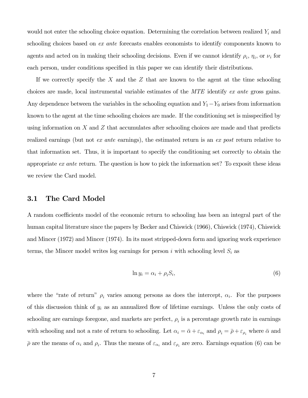would not enter the schooling choice equation. Determining the correlation between realized  $Y_i$  and schooling choices based on *ex ante* forecasts enables economists to identify components known to agents and acted on in making their schooling decisions. Even if we cannot identify  $\rho_i$ ,  $\eta_i$ , or  $\nu_i$  for each person, under conditions specified in this paper we can identify their distributions.

If we correctly specify the  $X$  and the  $Z$  that are known to the agent at the time schooling choices are made, local instrumental variable estimates of the MTE identify ex ante gross gains. Any dependence between the variables in the schooling equation and  $Y_1-Y_0$  arises from information known to the agent at the time schooling choices are made. If the conditioning set is misspecified by using information on  $X$  and  $Z$  that accumulates after schooling choices are made and that predicts realized earnings (but not ex ante earnings), the estimated return is an ex post return relative to that information set. Thus, it is important to specify the conditioning set correctly to obtain the appropriate ex ante return. The question is how to pick the information set? To exposit these ideas we review the Card model.

#### 3.1 The Card Model

A random coefficients model of the economic return to schooling has been an integral part of the human capital literature since the papers by Becker and Chiswick (1966), Chiswick (1974), Chiswick and Mincer (1972) and Mincer (1974). In its most stripped-down form and ignoring work experience terms, the Mincer model writes log earnings for person i with schooling level  $S_i$  as

$$
\ln y_i = \alpha_i + \rho_i S_i,\tag{6}
$$

where the "rate of return"  $\rho_i$  varies among persons as does the intercept,  $\alpha_i$ . For the purposes of this discussion think of  $y_i$  as an annualized flow of lifetime earnings. Unless the only costs of schooling are earnings foregone, and markets are perfect,  $\rho_i$  is a percentage growth rate in earnings with schooling and not a rate of return to schooling. Let  $\alpha_i = \bar{\alpha} + \varepsilon_{\alpha_i}$  and  $\rho_i = \bar{\rho} + \varepsilon_{\rho_i}$  where  $\bar{\alpha}$  and  $\bar{\rho}$  are the means of  $\alpha_i$  and  $\rho_i$ . Thus the means of  $\varepsilon_{\alpha_i}$  and  $\varepsilon_{\rho_i}$  are zero. Earnings equation (6) can be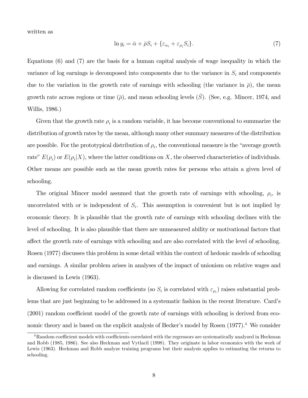written as

$$
\ln y_i = \bar{\alpha} + \bar{\rho} S_i + \{\varepsilon_{\alpha_i} + \varepsilon_{\rho_i} S_i\}.\tag{7}
$$

Equations (6) and (7) are the basis for a human capital analysis of wage inequality in which the variance of log earnings is decomposed into components due to the variance in  $S_i$  and components due to the variation in the growth rate of earnings with schooling (the variance in  $\bar{\rho}$ ), the mean growth rate across regions or time  $(\bar{\rho})$ , and mean schooling levels  $(\bar{S})$ . (See, e.g. Mincer, 1974, and Willis, 1986.)

Given that the growth rate  $\rho_i$  is a random variable, it has become conventional to summarize the distribution of growth rates by the mean, although many other summary measures of the distribution are possible. For the prototypical distribution of  $\rho_i$ , the conventional measure is the "average growth" rate"  $E(\rho_i)$  or  $E(\rho_i|X)$ , where the latter conditions on X, the observed characteristics of individuals. Other means are possible such as the mean growth rates for persons who attain a given level of schooling.

The original Mincer model assumed that the growth rate of earnings with schooling,  $\rho_i$ , is uncorrelated with or is independent of  $S_i$ . This assumption is convenient but is not implied by economic theory. It is plausible that the growth rate of earnings with schooling declines with the level of schooling. It is also plausible that there are unmeasured ability or motivational factors that affect the growth rate of earnings with schooling and are also correlated with the level of schooling. Rosen (1977) discusses this problem in some detail within the context of hedonic models of schooling and earnings. A similar problem arises in analyses of the impact of unionism on relative wages and is discussed in Lewis (1963).

Allowing for correlated random coefficients (so  $S_i$  is correlated with  $\varepsilon_{\rho_i}$ ) raises substantial problems that are just beginning to be addressed in a systematic fashion in the recent literature. Card's (2001) random coefficient model of the growth rate of earnings with schooling is derived from economic theory and is based on the explicit analysis of Becker's model by Rosen  $(1977)^{4}$ . We consider

 $4R$ andom coefficient models with coefficients correlated with the regressors are systematically analyzed in Heckman and Robb (1985, 1986). See also Heckman and Vytlacil (1998). They originate in labor economics with the work of Lewis (1963). Heckman and Robb analyze training programs but their analysis applies to estimating the returns to schooling.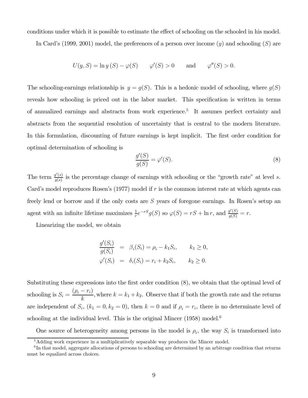conditions under which it is possible to estimate the effect of schooling on the schooled in his model.

In Card's (1999, 2001) model, the preferences of a person over income  $(y)$  and schooling  $(S)$  are

$$
U(y, S) = \ln y(S) - \varphi(S) \qquad \varphi'(S) > 0 \qquad \text{and} \qquad \varphi''(S) > 0.
$$

The schooling-earnings relationship is  $y = g(S)$ . This is a hedonic model of schooling, where  $g(S)$ reveals how schooling is priced out in the labor market. This specification is written in terms of annualized earnings and abstracts from work experience.5 It assumes perfect certainty and abstracts from the sequential resolution of uncertainty that is central to the modern literature. In this formulation, discounting of future earnings is kept implicit. The first order condition for optimal determination of schooling is

$$
\frac{g'(S)}{g(S)} = \varphi'(S). \tag{8}
$$

The term  $\frac{g'(s)}{g(s)}$  is the percentage change of earnings with schooling or the "growth rate" at level s. Card's model reproduces Rosen's  $(1977)$  model if r is the common interest rate at which agents can freely lend or borrow and if the only costs are S years of foregone earnings. In Rosen's setup an agent with an infinite lifetime maximizes  $\frac{1}{r}e^{-rS}g(S)$  so  $\varphi(S) = rS + \ln r$ , and  $\frac{g'(S)}{g(S)} = r$ .

Linearizing the model, we obtain

$$
\frac{g'(S_i)}{g(S_i)} = \beta_i(S_i) = \rho_i - k_1 S_i, \qquad k_1 \ge 0,
$$
  

$$
\varphi'(S_i) = \delta_i(S_i) = r_i + k_2 S_i, \qquad k_2 \ge 0.
$$

Substituting these expressions into the first order condition (8), we obtain that the optimal level of schooling is  $S_i = \frac{(\rho_i - r_i)}{k}$ , where  $k = k_1 + k_2$ . Observe that if both the growth rate and the returns are independent of  $S_i$ ,  $(k_1 = 0, k_2 = 0)$ , then  $k = 0$  and if  $\rho_i = r_i$ , there is no determinate level of schooling at the individual level. This is the original Mincer  $(1958)$  model.<sup>6</sup>

One source of heterogeneity among persons in the model is  $\rho_i$ , the way  $S_i$  is transformed into

<sup>&</sup>lt;sup>5</sup>Adding work experience in a multiplicatively separable way produces the Mincer model.

<sup>&</sup>lt;sup>6</sup>In that model, aggregate allocations of persons to schooling are determined by an arbitrage condition that returns must be equalized across choices.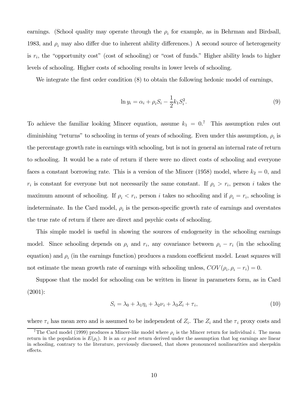earnings. (School quality may operate through the  $\rho_i$  for example, as in Behrman and Birdsall, 1983, and  $\rho_i$  may also differ due to inherent ability differences.) A second source of heterogeneity is  $r_i$ , the "opportunity cost" (cost of schooling) or "cost of funds." Higher ability leads to higher levels of schooling. Higher costs of schooling results in lower levels of schooling.

We integrate the first order condition  $(8)$  to obtain the following hedonic model of earnings,

$$
\ln y_i = \alpha_i + \rho_i S_i - \frac{1}{2} k_1 S_i^2.
$$
\n(9)

To achieve the familiar looking Mincer equation, assume  $k_1 = 0$ .<sup>7</sup> This assumption rules out diminishing "returns" to schooling in terms of years of schooling. Even under this assumption,  $\rho_i$  is the percentage growth rate in earnings with schooling, but is not in general an internal rate of return to schooling. It would be a rate of return if there were no direct costs of schooling and everyone faces a constant borrowing rate. This is a version of the Mincer (1958) model, where  $k_2 = 0$ , and  $r_i$  is constant for everyone but not necessarily the same constant. If  $\rho_i > r_i$ , person i takes the maximum amount of schooling. If  $\rho_i < r_i$ , person i takes no schooling and if  $\rho_i = r_i$ , schooling is indeterminate. In the Card model,  $\rho_i$  is the person-specific growth rate of earnings and overstates the true rate of return if there are direct and psychic costs of schooling.

This simple model is useful in showing the sources of endogeneity in the schooling earnings model. Since schooling depends on  $\rho_i$  and  $r_i$ , any covariance between  $\rho_i - r_i$  (in the schooling equation) and  $\rho_i$  (in the earnings function) produces a random coefficient model. Least squares will not estimate the mean growth rate of earnings with schooling unless,  $COV(\rho_i, \rho_i - r_i) = 0$ .

Suppose that the model for schooling can be written in linear in parameters form, as in Card (2001):

$$
S_i = \lambda_0 + \lambda_1 \eta_i + \lambda_2 \nu_i + \lambda_3 Z_i + \tau_i, \tag{10}
$$

where  $\tau_i$  has mean zero and is assumed to be independent of  $Z_i$ . The  $Z_i$  and the  $\tau_i$  proxy costs and

<sup>&</sup>lt;sup>7</sup>The Card model (1999) produces a Mincer-like model where  $\rho_i$  is the Mincer return for individual i. The mean return in the population is  $E(\rho_i)$ . It is an ex post return derived under the assumption that log earnings are linear in schooling, contrary to the literature, previously discussed, that shows pronounced nonlinearities and sheepskin effects.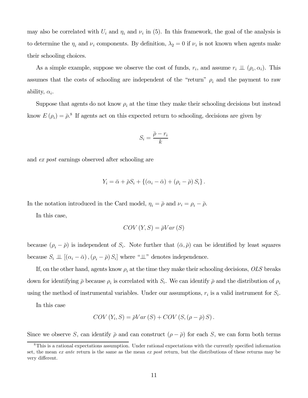may also be correlated with  $U_i$  and  $\eta_i$  and  $\nu_i$  in (5). In this framework, the goal of the analysis is to determine the  $\eta_i$  and  $\nu_i$  components. By definition,  $\lambda_2 = 0$  if  $\nu_i$  is not known when agents make their schooling choices.

As a simple example, suppose we observe the cost of funds,  $r_i$ , and assume  $r_i \perp \!\!\! \perp (\rho_i, \alpha_i)$ . This assumes that the costs of schooling are independent of the "return"  $\rho_i$  and the payment to raw ability,  $\alpha_i$ .

Suppose that agents do not know  $\rho_i$  at the time they make their schooling decisions but instead know  $E(\rho_i)=\bar{\rho}.^8$  If agents act on this expected return to schooling, decisions are given by

$$
S_i = \frac{\bar{\rho} - r_i}{k}
$$

and ex post earnings observed after schooling are

$$
Y_i = \bar{\alpha} + \bar{\rho} S_i + \left\{ (\alpha_i - \bar{\alpha}) + (\rho_i - \bar{\rho}) S_i \right\}.
$$

In the notation introduced in the Card model,  $\eta_i = \overline{\rho}$  and  $\nu_i = \rho_i - \overline{\rho}$ .

In this case,

$$
COV(Y, S) = \bar{\rho}Var(S)
$$

because  $(\rho_i - \overline{\rho})$  is independent of  $S_i$ . Note further that  $(\overline{\alpha}, \overline{\rho})$  can be identified by least squares because  $S_i \perp \!\!\! \perp \left[ (\alpha_i - \bar{\alpha}) , (\rho_i - \bar{\rho}) S_i \right]$  where " $\perp \!\!\! \perp$ " denotes independence.

If, on the other hand, agents know  $\rho_i$  at the time they make their schooling decisions, OLS breaks down for identifying  $\bar{\rho}$  because  $\rho_i$  is correlated with  $S_i$ . We can identify  $\bar{\rho}$  and the distribution of  $\rho_i$ using the method of instrumental variables. Under our assumptions,  $r_i$  is a valid instrument for  $S_i$ .

In this case

$$
COV(Y_i, S) = \overline{\rho}Var(S) + COV(S, (\rho - \overline{\rho})S).
$$

Since we observe S, can identify  $\bar{\rho}$  and can construct  $(\rho - \bar{\rho})$  for each S, we can form both terms

<sup>8</sup>This is a rational expectations assumption. Under rational expectations with the currently specified information set, the mean ex ante return is the same as the mean ex post return, but the distributions of these returns may be very different.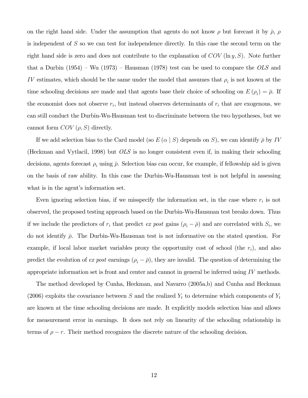on the right hand side. Under the assumption that agents do not know  $\rho$  but forecast it by  $\bar{\rho}$ ,  $\rho$ is independent of S so we can test for independence directly. In this case the second term on the right hand side is zero and does not contribute to the explanation of  $COV(\ln y, S)$ . Note further that a Durbin  $(1954)$  – Wu  $(1973)$  – Hausman  $(1978)$  test can be used to compare the *OLS* and IV estimates, which should be the same under the model that assumes that  $\rho_i$  is not known at the time schooling decisions are made and that agents base their choice of schooling on  $E(\rho_i)=\bar{\rho}$ . If the economist does not observe  $r_i$ , but instead observes determinants of  $r_i$  that are exogenous, we can still conduct the Durbin-Wu-Hausman test to discriminate between the two hypotheses, but we cannot form  $COV(\rho, S)$  directly.

If we add selection bias to the Card model (so  $E(\alpha | S)$  depends on S), we can identify  $\bar{\rho}$  by IV (Heckman and Vytlacil, 1998) but  $OLS$  is no longer consistent even if, in making their schooling decisions, agents forecast  $\rho_i$  using  $\bar{\rho}$ . Selection bias can occur, for example, if fellowship aid is given on the basis of raw ability. In this case the Durbin-Wu-Hausman test is not helpful in assessing what is in the agent's information set.

Even ignoring selection bias, if we misspecify the information set, in the case where  $r_i$  is not observed, the proposed testing approach based on the Durbin-Wu-Hausman test breaks down. Thus if we include the predictors of  $r_i$  that predict ex post gains  $(\rho_i - \overline{\rho})$  and are correlated with  $S_i$ , we do not identify  $\bar{\rho}$ . The Durbin-Wu-Hausman test is not informative on the stated question. For example, if local labor market variables proxy the opportunity cost of school (the  $r_i$ ), and also predict the evolution of ex post earnings  $(\rho_i - \overline{\rho})$ , they are invalid. The question of determining the appropriate information set is front and center and cannot in general be inferred using IV methods.

The method developed by Cunha, Heckman, and Navarro (2005a,b) and Cunha and Heckman (2006) exploits the covariance between S and the realized  $Y_t$  to determine which components of  $Y_t$ are known at the time schooling decisions are made. It explicitly models selection bias and allows for measurement error in earnings. It does not rely on linearity of the schooling relationship in terms of  $\rho - r$ . Their method recognizes the discrete nature of the schooling decision.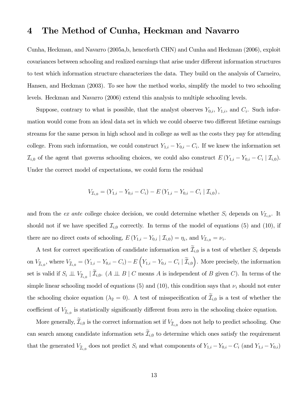### 4 The Method of Cunha, Heckman and Navarro

Cunha, Heckman, and Navarro (2005a,b, henceforth CHN) and Cunha and Heckman (2006), exploit covariances between schooling and realized earnings that arise under different information structures to test which information structure characterizes the data. They build on the analysis of Carneiro, Hansen, and Heckman (2003). To see how the method works, simplify the model to two schooling levels. Heckman and Navarro (2006) extend this analysis to multiple schooling levels.

Suppose, contrary to what is possible, that the analyst observes  $Y_{0,i}$ ,  $Y_{1,i}$ , and  $C_i$ . Such information would come from an ideal data set in which we could observe two different lifetime earnings streams for the same person in high school and in college as well as the costs they pay for attending college. From such information, we could construct  $Y_{1,i} - Y_{0,i} - C_i$ . If we knew the information set  $\mathcal{I}_{i,0}$  of the agent that governs schooling choices, we could also construct  $E(Y_{1,i} - Y_{0,i} - C_i | \mathcal{I}_{i,0}).$ Under the correct model of expectations, we could form the residual

$$
V_{\mathcal{I}_{i,0}} = (Y_{1,i} - Y_{0,i} - C_i) - E(Y_{1,i} - Y_{0,i} - C_i | \mathcal{I}_{i,0}),
$$

and from the ex ante college choice decision, we could determine whether  $S_i$  depends on  $V_{\mathcal{I}_{i,0}}$ . It should not if we have specified  $\mathcal{I}_{i,0}$  correctly. In terms of the model of equations (5) and (10), if there are no direct costs of schooling,  $E(Y_{1,i} - Y_{0,i} | \mathcal{I}_{i,0}) = \eta_i$ , and  $V_{\mathcal{I}_{i,0}} = \nu_i$ .

A test for correct specification of candidate information set  $\mathcal{I}_{i,0}$  is a test of whether  $S_i$  depends on  $V_{\widetilde{\mathcal{I}}_{i,0}}$ , where  $V_{\widetilde{\mathcal{I}}_{i,0}} = (Y_{1,i} - Y_{0,i} - C_i) - E\left(Y_{1,i} - Y_{0,i} - C_i | \widetilde{\mathcal{I}}_{i,0}\right)$ ). More precisely, the information set is valid if  $S_i \perp \!\!\!\perp V_{\widetilde{\mathcal{I}}_{i,0}} \mid \mathcal{I}_{i,0}$ . (A  $\perp \!\!\!\perp B \mid C$  means A is independent of B given C). In terms of the simple linear schooling model of equations (5) and (10), this condition says that  $\nu_i$  should not enter the schooling choice equation  $(\lambda_2 = 0)$ . A test of misspecification of  $\mathcal{I}_{i,0}$  is a test of whether the coefficient of  $V_{\widetilde{\mathcal{I}}_{i,0}}$  is statistically significantly different from zero in the schooling choice equation.

More generally,  $\mathcal{I}_{i,0}$  is the correct information set if  $V_{\widetilde{\mathcal{I}}_{i,0}}$  does not help to predict schooling. One can search among candidate information sets  $\mathcal{I}_{i,0}$  to determine which ones satisfy the requirement that the generated  $V_{\widetilde{\mathcal{I}}_{i,0}}$  does not predict  $S_i$  and what components of  $Y_{1,i} - Y_{0,i} - C_i$  (and  $Y_{1,i} - Y_{0,i}$ )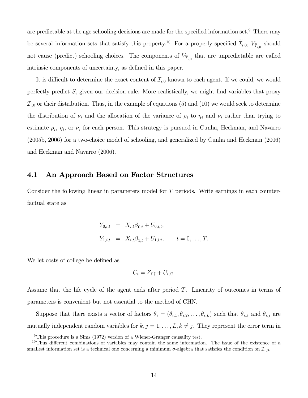are predictable at the age schooling decisions are made for the specified information set.<sup>9</sup> There may be several information sets that satisfy this property.<sup>10</sup> For a properly specified  $\mathcal{I}_{i,0}$ ,  $V_{\mathcal{I}_{i,0}}$  should not cause (predict) schooling choices. The components of  $V_{\tilde{\mathcal{I}}_{i,0}}$  that are unpredictable are called intrinsic components of uncertainty, as defined in this paper.

It is difficult to determine the exact content of  $\mathcal{I}_{i,0}$  known to each agent. If we could, we would perfectly predict  $S_i$  given our decision rule. More realistically, we might find variables that proxy  $\mathcal{I}_{i,0}$  or their distribution. Thus, in the example of equations (5) and (10) we would seek to determine the distribution of  $\nu_i$  and the allocation of the variance of  $\rho_i$  to  $\eta_i$  and  $\nu_i$  rather than trying to estimate  $\rho_i$ ,  $\eta_i$ , or  $\nu_i$  for each person. This strategy is pursued in Cunha, Heckman, and Navarro (2005b, 2006) for a two-choice model of schooling, and generalized by Cunha and Heckman (2006) and Heckman and Navarro (2006).

#### 4.1 An Approach Based on Factor Structures

Consider the following linear in parameters model for T periods. Write earnings in each counterfactual state as

$$
Y_{0,i,t} = X_{i,t}\beta_{0,t} + U_{0,i,t},
$$
  
\n
$$
Y_{1,i,t} = X_{i,t}\beta_{1,t} + U_{1,i,t}, \qquad t = 0, \ldots, T.
$$

We let costs of college be defined as

$$
C_i = Z_i \gamma + U_{i,C}.
$$

Assume that the life cycle of the agent ends after period T. Linearity of outcomes in terms of parameters is convenient but not essential to the method of CHN.

Suppose that there exists a vector of factors  $\theta_i = (\theta_{i,1}, \theta_{i,2}, \dots, \theta_{i,L})$  such that  $\theta_{i,k}$  and  $\theta_{i,j}$  are mutually independent random variables for  $k, j = 1, \ldots, L, k \neq j$ . They represent the error term in

<sup>&</sup>lt;sup>9</sup>This procedure is a Sims (1972) version of a Wiener-Granger causality test.

 $10$ Thus different combinations of variables may contain the same information. The issue of the existence of a smallest information set is a technical one concerning a minimum  $\sigma$ -algebra that satisfies the condition on  $\mathcal{I}_{i,0}$ .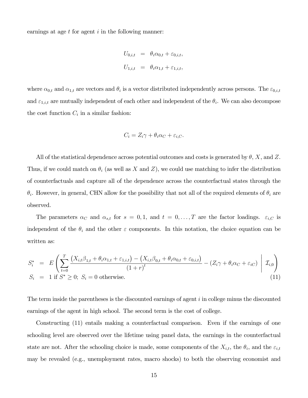earnings at age  $t$  for agent  $i$  in the following manner:

$$
U_{0,i,t} = \theta_i \alpha_{0,t} + \varepsilon_{0,i,t},
$$
  

$$
U_{1,i,t} = \theta_i \alpha_{1,t} + \varepsilon_{1,i,t},
$$

where  $\alpha_{0,t}$  and  $\alpha_{1,t}$  are vectors and  $\theta_i$  is a vector distributed independently across persons. The  $\varepsilon_{0,i,t}$ and  $\varepsilon_{1,i,t}$  are mutually independent of each other and independent of the  $\theta_i$ . We can also decompose the cost function  $C_i$  in a similar fashion:

$$
C_i = Z_i \gamma + \theta_i \alpha_C + \varepsilon_{i,C}.
$$

All of the statistical dependence across potential outcomes and costs is generated by  $\theta$ , X, and Z. Thus, if we could match on  $\theta_i$  (as well as X and Z), we could use matching to infer the distribution of counterfactuals and capture all of the dependence across the counterfactual states through the  $\theta_i$ . However, in general, CHN allow for the possibility that not all of the required elements of  $\theta_i$  are observed.

The parameters  $\alpha_C$  and  $\alpha_{s,t}$  for  $s = 0, 1$ , and  $t = 0, \ldots, T$  are the factor loadings.  $\varepsilon_{i,C}$  is independent of the  $\theta_i$  and the other  $\varepsilon$  components. In this notation, the choice equation can be written as:

$$
S_i^* = E\left(\sum_{t=0}^T \frac{\left(X_{i,t}\beta_{1,t} + \theta_i \alpha_{1,t} + \varepsilon_{1,i,t}\right) - \left(X_{i,t}\beta_{0,t} + \theta_i \alpha_{0,t} + \varepsilon_{0,i,t}\right)}{\left(1+r\right)^t} - \left(Z_i\gamma + \theta_i \alpha_C + \varepsilon_{iC}\right) \middle| \mathcal{I}_{i,0}\right)
$$
  
\n
$$
S_i = 1 \text{ if } S^* \geq 0; S_i = 0 \text{ otherwise.}
$$
\n(11)

The term inside the parentheses is the discounted earnings of agent  $i$  in college minus the discounted earnings of the agent in high school. The second term is the cost of college.

Constructing (11) entails making a counterfactual comparison. Even if the earnings of one schooling level are observed over the lifetime using panel data, the earnings in the counterfactual state are not. After the schooling choice is made, some components of the  $X_{i,t}$ , the  $\theta_i$ , and the  $\varepsilon_{i,t}$ may be revealed (e.g., unemployment rates, macro shocks) to both the observing economist and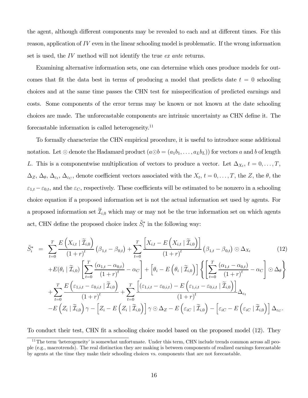the agent, although different components may be revealed to each and at different times. For this reason, application of  $IV$  even in the linear schooling model is problematic. If the wrong information set is used, the IV method will not identify the true ex ante returns.

Examining alternative information sets, one can determine which ones produce models for outcomes that fit the data best in terms of producing a model that predicts date  $t = 0$  schooling choices and at the same time passes the CHN test for misspecification of predicted earnings and costs. Some components of the error terms may be known or not known at the date schooling choices are made. The unforecastable components are intrinsic uncertainty as CHN define it. The forecastable information is called heterogeneity.<sup>11</sup>

To formally characterize the CHN empirical procedure, it is useful to introduce some additional notation. Let  $\odot$  denote the Hadamard product  $(a \odot b = (a_1b_1, \ldots, a_Lb_L))$  for vectors a and b of length L. This is a componentwise multiplication of vectors to produce a vector. Let  $\Delta_{X_t}$ ,  $t = 0, \ldots, T$ ,  $\Delta_Z$ ,  $\Delta_{\theta}$ ,  $\Delta_{\varepsilon_t}$ ,  $\Delta_{\varepsilon_C}$ , denote coefficient vectors associated with the  $X_t$ ,  $t = 0, \ldots, T$ , the Z, the  $\theta$ , the  $\varepsilon_{1,t} - \varepsilon_{0,t}$ , and the  $\varepsilon_C$ , respectively. These coefficients will be estimated to be nonzero in a schooling choice equation if a proposed information set is not the actual information set used by agents. For a proposed information set  $\mathcal{I}_{i,0}$  which may or may not be the true information set on which agents act, CHN define the proposed choice index  $\tilde{S}_i^*$  in the following way:

$$
\tilde{S}_{i}^{*} = \sum_{t=0}^{T} \frac{E\left(X_{i,t} \mid \tilde{\mathcal{I}}_{i,0}\right)}{(1+r)^{t}} \left(\beta_{1,t} - \beta_{0,t}\right) + \sum_{t=0}^{T} \frac{\left[X_{i,t} - E\left(X_{i,t} \mid \tilde{\mathcal{I}}_{i,0}\right)\right]}{(1+r)^{t}} \left(\beta_{1,t} - \beta_{0,t}\right) \odot \Delta_{X_{t}}
$$
\n(12)

$$
+E(\theta_{i} \mid \widetilde{\mathcal{I}}_{i,0})\left[\sum_{t=0}^{T}\frac{(\alpha_{1,t}-\alpha_{0,t})}{(1+r)^{t}}-\alpha_{C}\right]+\left[\theta_{i}-E\left(\theta_{i} \mid \widetilde{\mathcal{I}}_{i,0}\right)\right]\left\{\left[\sum_{t=0}^{T}\frac{(\alpha_{1,t}-\alpha_{0,t})}{(1+r)^{t}}-\alpha_{C}\right]\odot\Delta_{\theta}\right\}
$$

$$
+\sum_{t=0}^{T}\frac{E\left(\varepsilon_{1,i,t}-\varepsilon_{0,i,t} \mid \widetilde{\mathcal{I}}_{i,0}\right)}{(1+r)^{t}}+\sum_{t=0}^{T}\frac{\left[(\varepsilon_{1,i,t}-\varepsilon_{0,i,t})-E\left(\varepsilon_{1,i,t}-\varepsilon_{0,i,t} \mid \widetilde{\mathcal{I}}_{i,0}\right)\right]}{(1+r)^{t}}\Delta_{\varepsilon_{t}}
$$

$$
-E\left(Z_{i} \mid \widetilde{\mathcal{I}}_{i,0}\right)\gamma-\left[Z_{i}-E\left(Z_{i} \mid \widetilde{\mathcal{I}}_{i,0}\right)\right]\gamma\odot\Delta_{Z}-E\left(\varepsilon_{iC} \mid \widetilde{\mathcal{I}}_{i,0}\right)-\left[\varepsilon_{iC}-E\left(\varepsilon_{iC} \mid \widetilde{\mathcal{I}}_{i,0}\right)\right]\Delta_{\varepsilon_{C}}.
$$

To conduct their test, CHN fit a schooling choice model based on the proposed model (12). They

 $11$ The term 'heterogeneity' is somewhat unfortunate. Under this term, CHN include trends common across all people (e.g., macrotrends). The real distinction they are making is between components of realized earnings forecastable by agents at the time they make their schooling choices vs. components that are not forecastable.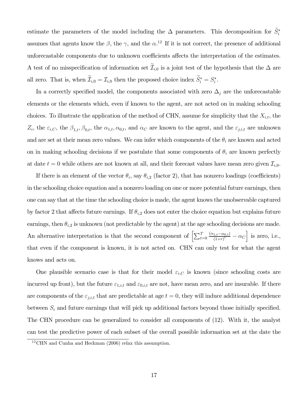estimate the parameters of the model including the  $\Delta$  parameters. This decomposition for  $\tilde{S}_i^*$ assumes that agents know the  $\beta$ , the  $\gamma$ , and the  $\alpha$ .<sup>12</sup> If it is not correct, the presence of additional unforecastable components due to unknown coefficients affects the interpretation of the estimates. A test of no misspecification of information set  $\mathcal{I}_{i,0}$  is a joint test of the hypothesis that the  $\Delta$  are all zero. That is, when  $\mathcal{I}_{i,0} = \mathcal{I}_{i,0}$  then the proposed choice index  $S_i^* = S_i^*$ .

In a correctly specified model, the components associated with zero  $\Delta_j$  are the unforecastable elements or the elements which, even if known to the agent, are not acted on in making schooling choices. To illustrate the application of the method of CHN, assume for simplicity that the  $X_{i,t}$ , the  $Z_i$ , the  $\varepsilon_{i,C}$ , the  $\beta_{1,t}$ ,  $\beta_{0,t}$ , the  $\alpha_{1,t}$ ,  $\alpha_{0,t}$ , and  $\alpha_C$  are known to the agent, and the  $\varepsilon_{j,i,t}$  are unknown and are set at their mean zero values. We can infer which components of the  $\theta_i$  are known and acted on in making schooling decisions if we postulate that some components of  $\theta_i$  are known perfectly at date  $t = 0$  while others are not known at all, and their forecast values have mean zero given  $\mathcal{I}_{i,0}$ .

If there is an element of the vector  $\theta_i$ , say  $\theta_{i,2}$  (factor 2), that has nonzero loadings (coefficients) in the schooling choice equation and a nonzero loading on one or more potential future earnings, then one can say that at the time the schooling choice is made, the agent knows the unobservable captured by factor 2 that affects future earnings. If  $\theta_{i,2}$  does not enter the choice equation but explains future earnings, then  $\theta_{i,2}$  is unknown (not predictable by the agent) at the age schooling decisions are made. An alternative interpretation is that the second component of  $\left[\sum_{t=0}^{T} \frac{(\alpha_{1,t}-\alpha_{0,t})}{(1+r)^t}\right]$  $\frac{a_{1,t}-\alpha_{0,t}}{(1+r)^t} - \alpha_C$  is zero, i.e., that even if the component is known, it is not acted on. CHN can only test for what the agent knows and acts on.

One plausible scenario case is that for their model  $\varepsilon_{i,C}$  is known (since schooling costs are incurred up front), but the future  $\varepsilon_{1,i,t}$  and  $\varepsilon_{0,i,t}$  are not, have mean zero, and are insurable. If there are components of the  $\varepsilon_{j,i,t}$  that are predictable at age  $t = 0$ , they will induce additional dependence between  $S_i$  and future earnings that will pick up additional factors beyond those initially specified. The CHN procedure can be generalized to consider all components of (12). With it, the analyst can test the predictive power of each subset of the overall possible information set at the date the

<sup>12</sup>CHN and Cunha and Heckman (2006) relax this assumption.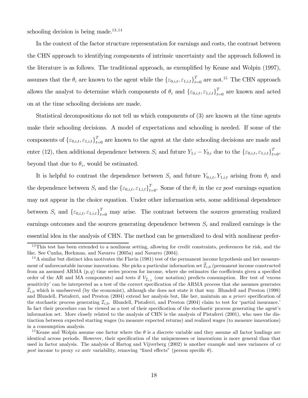schooling decision is being made.<sup>13,14</sup>

In the context of the factor structure representation for earnings and costs, the contrast between the CHN approach to identifying components of intrinsic uncertainty and the approach followed in the literature is as follows. The traditional approach, as exemplified by Keane and Wolpin (1997), assumes that the  $\theta_i$  are known to the agent while the  $\{\varepsilon_{0,i,t}, \varepsilon_{1,i,t}\}_{t=0}^T$  are not.<sup>15</sup> The CHN approach allows the analyst to determine which components of  $\theta_i$  and  $\{\varepsilon_{0,i,t}, \varepsilon_{1,i,t}\}_{t=0}^T$  are known and acted on at the time schooling decisions are made.

Statistical decompositions do not tell us which components of (3) are known at the time agents make their schooling decisions. A model of expectations and schooling is needed. If some of the components of  $\{\varepsilon_{0,i,t}, \varepsilon_{1,i,t}\}_{t=0}^T$  are known to the agent at the date schooling decisions are made and enter (12), then additional dependence between  $S_i$  and future  $Y_{1,i} - Y_{0,i}$  due to the  $\{\varepsilon_{0,i,t}, \varepsilon_{1,i,t}\}_{t=0}^T$ , beyond that due to  $\theta_i$ , would be estimated.

It is helpful to contrast the dependence between  $S_i$  and future  $Y_{0,i,t}$ ,  $Y_{1,i,t}$  arising from  $\theta_i$  and the dependence between  $S_i$  and the  $\{\varepsilon_{0,i,t}, \varepsilon_{1,i,t}\}_{t=0}^T$ . Some of the  $\theta_i$  in the ex post earnings equation may not appear in the choice equation. Under other information sets, some additional dependence between  $S_i$  and  $\{\varepsilon_{0,i,t}, \varepsilon_{1,i,t}\}_{t=0}^T$  may arise. The contrast between the sources generating realized earnings outcomes and the sources generating dependence between  $S_i$  and realized earnings is the essential idea in the analysis of CHN. The method can be generalized to deal with nonlinear prefer-

<sup>&</sup>lt;sup>13</sup>This test has been extended to a nonlinear setting, allowing for credit constraints, preferences for risk, and the like. See Cunha, Heckman, and Navarro (2005a) and Navarro (2004).

 $14A$  similar but distinct idea motivates the Flavin (1981) test of the permanent income hypothesis and her measurement of unforecastable income innovations. She picks a particular information set  $\mathcal{I}_{i,0}$  (permanent income constructed from an assumed ARMA  $(p, q)$  time series process for income, where she estimates the coefficients given a specified order of the AR and MA components) and tests if  $V_{\tilde{\mathcal{I}}_{i,0}}$  (our notation) predicts consumption. Her test of 'excess sensitivity' can be interpreted as a test of the correct specification of the ARMA process that she assumes generates  $\mathcal{I}_{i,0}$  which is unobserved (by the economist), although she does not state it that way. Blundell and Preston (1998) and Blundell, Pistaferri, and Preston (2004) extend her analysis but, like her, maintain an a priori specification of the stochastic process generating  $\mathcal{I}_{i,0}$ . Blundell, Pistaferri, and Preston (2004) claim to test for 'partial insurance.' In fact their procedure can be viewed as a test of their specification of the stochastic process generating the agent's information set. More closely related to the analysis of CHN is the analysis of Pistaferri (2001), who uses the distinction between expected starting wages (to measure expected returns) and realized wages (to measure innovations) in a consumption analysis.

<sup>&</sup>lt;sup>15</sup>Keane and Wolpin assume one factor where the  $\theta$  is a discrete variable and they assume all factor loadings are identical across periods. However, their specification of the uniquenesses or innovations is more general than that used in factor analysis. The analysis of Hartog and Vijverberg (2002) is another example and uses variances of ex post income to proxy ex ante variability, removing "fixed effects" (person specific  $\theta$ ).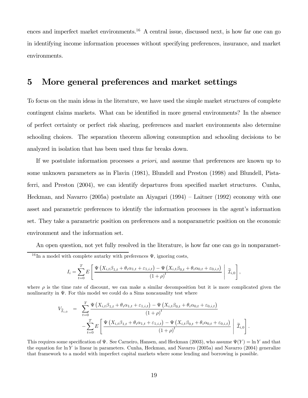ences and imperfect market environments.<sup>16</sup> A central issue, discussed next, is how far one can go in identifying income information processes without specifying preferences, insurance, and market environments.

### 5 More general preferences and market settings

To focus on the main ideas in the literature, we have used the simple market structures of complete contingent claims markets. What can be identified in more general environments? In the absence of perfect certainty or perfect risk sharing, preferences and market environments also determine schooling choices. The separation theorem allowing consumption and schooling decisions to be analyzed in isolation that has been used thus far breaks down.

If we postulate information processes a priori, and assume that preferences are known up to some unknown parameters as in Flavin (1981), Blundell and Preston (1998) and Blundell, Pistaferri, and Preston (2004), we can identify departures from specified market structures. Cunha, Heckman, and Navarro (2005a) postulate an Aiyagari (1994) — Laitner (1992) economy with one asset and parametric preferences to identify the information processes in the agent's information set. They take a parametric position on preferences and a nonparametric position on the economic environment and the information set.

An open question, not yet fully resolved in the literature, is how far one can go in nonparamet-<sup>16</sup>In a model with complete autarky with preferences  $\Psi$ , ignoring costs,

$$
I_i = \sum_{t=0}^T E\left[\frac{\Psi\left(X_{i,t}\beta_{1,t} + \theta_i\alpha_{1,t} + \varepsilon_{1,i,t}\right) - \Psi\left(X_{i,t}\beta_{0,t} + \theta_i\alpha_{0,t} + \varepsilon_{0,i,t}\right)}{\left(1+\rho\right)^t}\middle|\widetilde{\mathcal{I}}_{i,0}\right],
$$

where  $\rho$  is the time rate of discount, we can make a similar decomposition but it is more complicated given the nonlinearity in  $\Psi$ . For this model we could do a Sims noncausality test where

$$
V_{\widetilde{\mathcal{I}}_{i,0}} = \sum_{t=0}^{T} \frac{\Psi\left(X_{i,t}\beta_{1,t} + \theta_i \alpha_{1,t} + \varepsilon_{1,i,t}\right) - \Psi\left(X_{i,t}\beta_{0,t} + \theta_i \alpha_{0,t} + \varepsilon_{0,i,t}\right)}{(1+\rho)^t} - \sum_{t=0}^{T} E\left[\frac{\Psi\left(X_{i,t}\beta_{1,t} + \theta_i \alpha_{1,t} + \varepsilon_{1,i,t}\right) - \Psi\left(X_{i,t}\beta_{0,t} + \theta_i \alpha_{0,t} + \varepsilon_{0,i,t}\right)}{(1+\rho)^t} \middle| \widetilde{\mathcal{I}}_{i,0}\right].
$$

This requires some specification of  $\Psi$ . See Carneiro, Hansen, and Heckman (2003), who assume  $\Psi(Y) = \ln Y$  and that the equation for  $\ln Y$  is linear in parameters. Cunha, Heckman, and Navarro (2005a) and Navarro (2004) generalize that framework to a model with imperfect capital markets where some lending and borrowing is possible.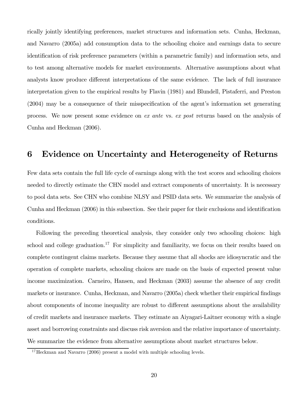rically jointly identifying preferences, market structures and information sets. Cunha, Heckman, and Navarro (2005a) add consumption data to the schooling choice and earnings data to secure identification of risk preference parameters (within a parametric family) and information sets, and to test among alternative models for market environments. Alternative assumptions about what analysts know produce different interpretations of the same evidence. The lack of full insurance interpretation given to the empirical results by Flavin (1981) and Blundell, Pistaferri, and Preston (2004) may be a consequence of their misspecification of the agent's information set generating process. We now present some evidence on ex ante vs. ex post returns based on the analysis of Cunha and Heckman (2006).

### 6 Evidence on Uncertainty and Heterogeneity of Returns

Few data sets contain the full life cycle of earnings along with the test scores and schooling choices needed to directly estimate the CHN model and extract components of uncertainty. It is necessary to pool data sets. See CHN who combine NLSY and PSID data sets. We summarize the analysis of Cunha and Heckman (2006) in this subsection. See their paper for their exclusions and identification conditions.

Following the preceding theoretical analysis, they consider only two schooling choices: high school and college graduation.<sup>17</sup> For simplicity and familiarity, we focus on their results based on complete contingent claims markets. Because they assume that all shocks are idiosyncratic and the operation of complete markets, schooling choices are made on the basis of expected present value income maximization. Carneiro, Hansen, and Heckman (2003) assume the absence of any credit markets or insurance. Cunha, Heckman, and Navarro (2005a) check whether their empirical findings about components of income inequality are robust to different assumptions about the availability of credit markets and insurance markets. They estimate an Aiyagari-Laitner economy with a single asset and borrowing constraints and discuss risk aversion and the relative importance of uncertainty. We summarize the evidence from alternative assumptions about market structures below.

 $17$  Heckman and Navarro (2006) present a model with multiple schooling levels.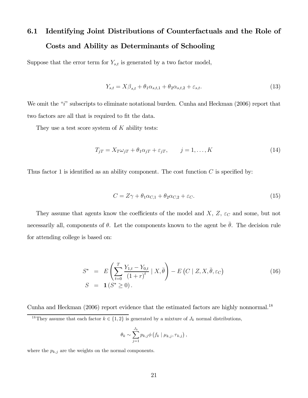### 6.1 Identifying Joint Distributions of Counterfactuals and the Role of Costs and Ability as Determinants of Schooling

Suppose that the error term for  $Y_{s,t}$  is generated by a two factor model,

$$
Y_{s,t} = X\beta_{s,t} + \theta_1 \alpha_{s,t,1} + \theta_2 \alpha_{s,t,2} + \varepsilon_{s,t}.
$$
\n(13)

We omit the "i" subscripts to eliminate notational burden. Cunha and Heckman (2006) report that two factors are all that is required to fit the data.

They use a test score system of  $K$  ability tests:

$$
T_{jT} = X_T \omega_{jT} + \theta_1 \alpha_{jT} + \varepsilon_{jT}, \qquad j = 1, \dots, K
$$
\n(14)

Thus factor 1 is identified as an ability component. The cost function  $C$  is specified by:

$$
C = Z\gamma + \theta_1 \alpha_{C,1} + \theta_2 \alpha_{C,2} + \varepsilon_C. \tag{15}
$$

They assume that agents know the coefficients of the model and  $X, Z, \varepsilon_C$  and some, but not necessarily all, components of  $\theta$ . Let the components known to the agent be  $\bar{\theta}$ . The decision rule for attending college is based on:

$$
S^* = E\left(\sum_{t=0}^T \frac{Y_{1,t} - Y_{0,t}}{(1+r)^t} \mid X, \bar{\theta}\right) - E\left(C \mid Z, X, \bar{\theta}, \varepsilon_C\right) S = \mathbf{1}(S^* \ge 0).
$$
 (16)

Cunha and Heckman  $(2006)$  report evidence that the estimated factors are highly nonnormal.<sup>18</sup>

$$
\theta_k \sim \sum_{j=1}^{J_k} p_{k,j} \phi \left( f_k \mid \mu_{k,j}, \tau_{k,j} \right),
$$

where the  $p_{k,j}$  are the weights on the normal components.

<sup>&</sup>lt;sup>18</sup>They assume that each factor  $k \in \{1,2\}$  is generated by a mixture of  $J_k$  normal distributions,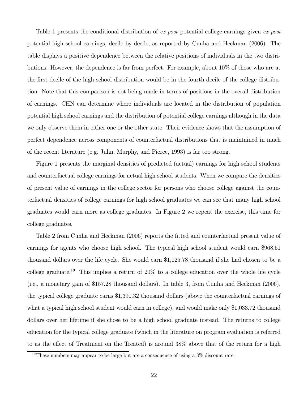Table 1 presents the conditional distribution of ex post potential college earnings given ex post potential high school earnings, decile by decile, as reported by Cunha and Heckman (2006). The table displays a positive dependence between the relative positions of individuals in the two distributions. However, the dependence is far from perfect. For example, about 10% of those who are at the first decile of the high school distribution would be in the fourth decile of the college distribution. Note that this comparison is not being made in terms of positions in the overall distribution of earnings. CHN can determine where individuals are located in the distribution of population potential high school earnings and the distribution of potential college earnings although in the data we only observe them in either one or the other state. Their evidence shows that the assumption of perfect dependence across components of counterfactual distributions that is maintained in much of the recent literature (e.g. Juhn, Murphy, and Pierce, 1993) is far too strong.

Figure 1 presents the marginal densities of predicted (actual) earnings for high school students and counterfactual college earnings for actual high school students. When we compare the densities of present value of earnings in the college sector for persons who choose college against the counterfactual densities of college earnings for high school graduates we can see that many high school graduates would earn more as college graduates. In Figure 2 we repeat the exercise, this time for college graduates.

Table 2 from Cunha and Heckman (2006) reports the fitted and counterfactual present value of earnings for agents who choose high school. The typical high school student would earn \$968.51 thousand dollars over the life cycle. She would earn \$1,125.78 thousand if she had chosen to be a college graduate.<sup>19</sup> This implies a return of  $20\%$  to a college education over the whole life cycle (i.e., a monetary gain of \$157.28 thousand dollars). In table 3, from Cunha and Heckman (2006), the typical college graduate earns \$1,390.32 thousand dollars (above the counterfactual earnings of what a typical high school student would earn in college), and would make only \$1,033.72 thousand dollars over her lifetime if she chose to be a high school graduate instead. The returns to college education for the typical college graduate (which in the literature on program evaluation is referred to as the effect of Treatment on the Treated) is around 38% above that of the return for a high

<sup>&</sup>lt;sup>19</sup>These numbers may appear to be large but are a consequence of using a  $3\%$  discount rate.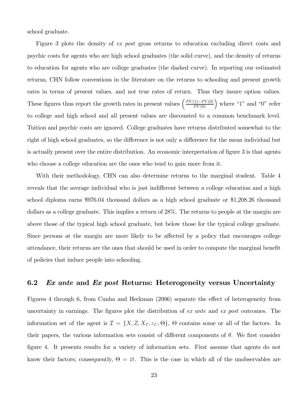school graduate.

Figure 3 plots the density of ex post gross returns to education excluding direct costs and psychic costs for agents who are high school graduates (the solid curve), and the density of returns to education for agents who are college graduates (the dashed curve). In reporting our estimated returns, CHN follow conventions in the literature on the returns to schooling and present growth rates in terms of present values, and not true rates of return. Thus they insure option values. These figures thus report the growth rates in present values  $\left(\frac{PV(1)-PV(0)}{PV(0)}\right)$  where "1" and "0" refer to college and high school and all present values are discounted to a common benchmark level. Tuition and psychic costs are ignored. College graduates have returns distributed somewhat to the right of high school graduates, so the difference is not only a difference for the mean individual but is actually present over the entire distribution. An economic interpretation of figure 3 is that agents who choose a college education are the ones who tend to gain more from it.

With their methodology, CHN can also determine returns to the marginal student. Table 4 reveals that the average individual who is just indifferent between a college education and a high school diploma earns \$976.04 thousand dollars as a high school graduate or \$1,208.26 thousand dollars as a college graduate. This implies a return of 28%. The returns to people at the margin are above those of the typical high school graduate, but below those for the typical college graduate. Since persons at the margin are more likely to be affected by a policy that encourages college attendance, their returns are the ones that should be used in order to compute the marginal benefit of policies that induce people into schooling.

#### 6.2 Ex ante and Ex post Returns: Heterogeneity versus Uncertainty

Figures 4 through 6, from Cunha and Heckman (2006) separate the effect of heterogeneity from uncertainty in earnings. The figures plot the distribution of ex ante and ex post outcomes. The information set of the agent is  $\mathcal{I} = \{X, Z, X_T, \varepsilon_C, \Theta\}$ ,  $\Theta$  contains some or all of the factors. In their papers, the various information sets consist of different components of  $\theta$ . We first consider figure 4. It presents results for a variety of information sets. First assume that agents do not know their factors; consequently,  $\Theta = \emptyset$ . This is the case in which all of the unobservables are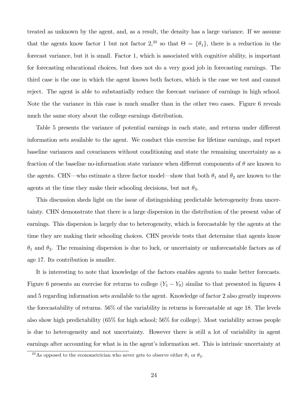treated as unknown by the agent, and, as a result, the density has a large variance. If we assume that the agents know factor 1 but not factor 2,<sup>20</sup> so that  $\Theta = {\theta_1}$ , there is a reduction in the forecast variance, but it is small. Factor 1, which is associated with cognitive ability, is important for forecasting educational choices, but does not do a very good job in forecasting earnings. The third case is the one in which the agent knows both factors, which is the case we test and cannot reject. The agent is able to substantially reduce the forecast variance of earnings in high school. Note the the variance in this case is much smaller than in the other two cases. Figure 6 reveals much the same story about the college earnings distribution.

Table 5 presents the variance of potential earnings in each state, and returns under different information sets available to the agent. We conduct this exercise for lifetime earnings, and report baseline variances and covariances without conditioning and state the remaining uncertainty as a fraction of the baseline no-information state variance when different components of  $\theta$  are known to the agents. CHN—who estimate a three factor model—show that both  $\theta_1$  and  $\theta_2$  are known to the agents at the time they make their schooling decisions, but not  $\theta_3$ .

This discussion sheds light on the issue of distinguishing predictable heterogeneity from uncertainty. CHN demonstrate that there is a large dispersion in the distribution of the present value of earnings. This dispersion is largely due to heterogeneity, which is forecastable by the agents at the time they are making their schooling choices. CHN provide tests that determine that agents know  $\theta_1$  and  $\theta_2$ . The remaining dispersion is due to luck, or uncertainty or unforecastable factors as of age 17. Its contribution is smaller.

It is interesting to note that knowledge of the factors enables agents to make better forecasts. Figure 6 presents an exercise for returns to college  $(Y_1 - Y_0)$  similar to that presented in figures 4 and 5 regarding information sets available to the agent. Knowledge of factor 2 also greatly improves the forecastability of returns. 56% of the variability in returns is forecastable at age 18. The levels also show high predictability (65% for high school; 56% for college). Most variability across people is due to heterogeneity and not uncertainty. However there is still a lot of variability in agent earnings after accounting for what is in the agent's information set. This is intrinsic uncertainty at

<sup>&</sup>lt;sup>20</sup>As opposed to the econometrician who never gets to observe either  $\theta_1$  or  $\theta_2$ .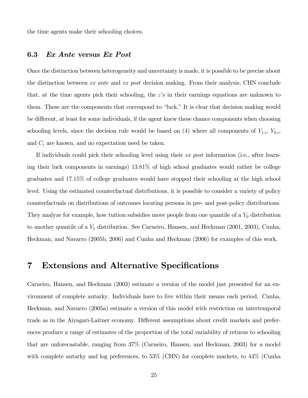the time agents make their schooling choices.

#### 6.3 Ex Ante versus Ex Post

Once the distinction between heterogeneity and uncertainty is made, it is possible to be precise about the distinction between ex ante and ex post decision making. From their analysis, CHN conclude that, at the time agents pick their schooling, the  $\varepsilon$ 's in their earnings equations are unknown to them. These are the components that correspond to "luck." It is clear that decision making would be different, at least for some individuals, if the agent knew these chance components when choosing schooling levels, since the decision rule would be based on (4) where all components of  $Y_{1,i}$ ,  $Y_{0,i}$ , and  $C_i$  are known, and no expectation need be taken.

If individuals could pick their schooling level using their ex post information (i.e., after learning their luck components in earnings) 13.81% of high school graduates would rather be college graduates and 17.15% of college graduates would have stopped their schooling at the high school level. Using the estimated counterfactual distributions, it is possible to consider a variety of policy counterfactuals on distributions of outcomes locating persons in pre- and post-policy distributions. They analyze for example, how tuition subsidies move people from one quantile of a  $Y_0$  distribution to another quantile of a  $Y_1$  distribution. See Carneiro, Hansen, and Heckman (2001, 2003), Cunha, Heckman, and Navarro (2005b, 2006) and Cunha and Heckman (2006) for examples of this work.

#### 7 Extensions and Alternative Specifications

Carneiro, Hansen, and Heckman (2003) estimate a version of the model just presented for an environment of complete autarky. Individuals have to live within their means each period. Cunha, Heckman, and Navarro (2005a) estimate a version of this model with restriction on intertemporal trade as in the Aiyagari-Laitner economy. Different assumptions about credit markets and preferences produce a range of estimates of the proportion of the total variability of returns to schooling that are unforecastable, ranging from 37% (Carneiro, Hansen, and Heckman, 2003) for a model with complete autarky and log preferences, to 53% (CHN) for complete markets, to 44% (Cunha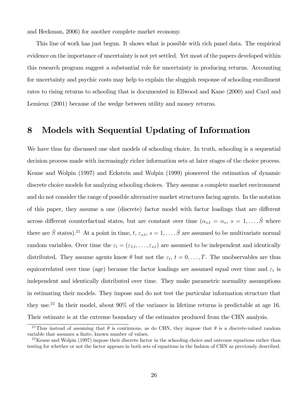and Heckman, 2006) for another complete market economy.

This line of work has just begun. It shows what is possible with rich panel data. The empirical evidence on the importance of uncertainty is not yet settled. Yet most of the papers developed within this research program suggest a substantial role for uncertainty in producing returns. Accounting for uncertainty and psychic costs may help to explain the sluggish response of schooling enrollment rates to rising returns to schooling that is documented in Ellwood and Kane (2000) and Card and Lemieux (2001) because of the wedge between utility and money returns.

#### 8 Models with Sequential Updating of Information

We have thus far discussed one shot models of schooling choice. In truth, schooling is a sequential decision process made with increasingly richer information sets at later stages of the choice process. Keane and Wolpin (1997) and Eckstein and Wolpin (1999) pioneered the estimation of dynamic discrete choice models for analyzing schooling choices. They assume a complete market environment and do not consider the range of possible alternative market structures facing agents. In the notation of this paper, they assume a one (discrete) factor model with factor loadings that are different across different counterfactual states, but are constant over time  $(\alpha_{s,t} = \alpha_s, s = 1, \ldots, \overline{S}$  where there are  $\bar{S}$  states).<sup>21</sup> At a point in time, t,  $\varepsilon_{s,t}$ ,  $s = 1, \ldots, \bar{S}$  are assumed to be multivariate normal random variables. Over time the  $\varepsilon_t = (\varepsilon_{1,t}, \ldots, \varepsilon_{s,t})$  are assumed to be independent and identically distributed. They assume agents know  $\theta$  but not the  $\varepsilon_t$ ,  $t = 0, \ldots, T$ . The unobservables are thus equicorrelated over time (age) because the factor loadings are assumed equal over time and  $\varepsilon_t$  is independent and identically distributed over time. They make parametric normality assumptions in estimating their models. They impose and do not test the particular information structure that they use.<sup>22</sup> In their model, about  $90\%$  of the variance in lifetime returns is predictable at age 16. Their estimate is at the extreme boundary of the estimates produced from the CHN analysis.

<sup>&</sup>lt;sup>21</sup>Thus instead of assuming that  $\theta$  is continuous, as do CHN, they impose that  $\theta$  is a discrete-valued random variable that assumes a finite, known number of values.

 $22$ Keane and Wolpin (1997) impose their discrete factor in the schooling choice and outcome equations rather than testing for whether or not the factor appears in both sets of equations in the fashion of CHN as previously described.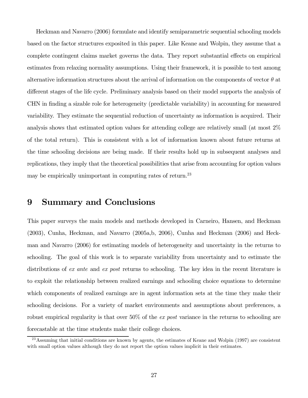Heckman and Navarro (2006) formulate and identify semiparametric sequential schooling models based on the factor structures exposited in this paper. Like Keane and Wolpin, they assume that a complete contingent claims market governs the data. They report substantial effects on empirical estimates from relaxing normality assumptions. Using their framework, it is possible to test among alternative information structures about the arrival of information on the components of vector  $\theta$  at different stages of the life cycle. Preliminary analysis based on their model supports the analysis of CHN in finding a sizable role for heterogeneity (predictable variability) in accounting for measured variability. They estimate the sequential reduction of uncertainty as information is acquired. Their analysis shows that estimated option values for attending college are relatively small (at most 2% of the total return). This is consistent with a lot of information known about future returns at the time schooling decisions are being made. If their results hold up in subsequent analyses and replications, they imply that the theoretical possibilities that arise from accounting for option values may be empirically unimportant in computing rates of return.<sup>23</sup>

### 9 Summary and Conclusions

This paper surveys the main models and methods developed in Carneiro, Hansen, and Heckman  $(2003)$ , Cunha, Heckman, and Navarro  $(2005a,b, 2006)$ , Cunha and Heckman  $(2006)$  and Heckman and Navarro (2006) for estimating models of heterogeneity and uncertainty in the returns to schooling. The goal of this work is to separate variability from uncertainty and to estimate the distributions of ex ante and ex post returns to schooling. The key idea in the recent literature is to exploit the relationship between realized earnings and schooling choice equations to determine which components of realized earnings are in agent information sets at the time they make their schooling decisions. For a variety of market environments and assumptions about preferences, a robust empirical regularity is that over 50% of the ex post variance in the returns to schooling are forecastable at the time students make their college choices.

 $^{23}$ Assuming that initial conditions are known by agents, the estimates of Keane and Wolpin (1997) are consistent with small option values although they do not report the option values implicit in their estimates.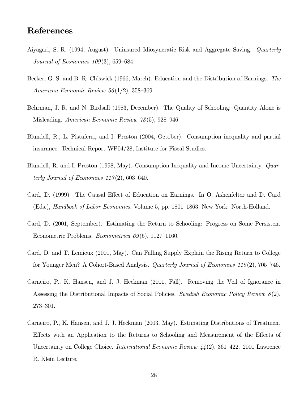### References

- Aiyagari, S. R. (1994, August). Uninsured Idiosyncratic Risk and Aggregate Saving. Quarterly Journal of Economics 109(3), 659—684.
- Becker, G. S. and B. R. Chiswick (1966, March). Education and the Distribution of Earnings. The American Economic Review 56(1/2), 358—369.
- Behrman, J. R. and N. Birdsall (1983, December). The Quality of Schooling: Quantity Alone is Misleading. American Economic Review 73(5), 928—946.
- Blundell, R., L. Pistaferri, and I. Preston (2004, October). Consumption inequality and partial insurance. Technical Report WP04/28, Institute for Fiscal Studies.
- Blundell, R. and I. Preston (1998, May). Consumption Inequality and Income Uncertainty. Quarterly Journal of Economics  $113(2)$ , 603-640.
- Card, D. (1999). The Causal Effect of Education on Earnings. In O. Ashenfelter and D. Card (Eds.), Handbook of Labor Economics, Volume 5, pp. 1801—1863. New York: North-Holland.
- Card, D. (2001, September). Estimating the Return to Schooling: Progress on Some Persistent Econometric Problems. Econometrica 69(5), 1127—1160.
- Card, D. and T. Lemieux (2001, May). Can Falling Supply Explain the Rising Return to College for Younger Men? A Cohort-Based Analysis. Quarterly Journal of Economics 116(2), 705—746.
- Carneiro, P., K. Hansen, and J. J. Heckman (2001, Fall). Removing the Veil of Ignorance in Assessing the Distributional Impacts of Social Policies. Swedish Economic Policy Review 8(2), 273—301.
- Carneiro, P., K. Hansen, and J. J. Heckman (2003, May). Estimating Distributions of Treatment Effects with an Application to the Returns to Schooling and Measurement of the Effects of Uncertainty on College Choice. International Economic Review 44(2), 361—422. 2001 Lawrence R. Klein Lecture.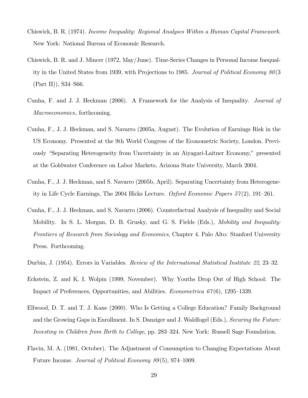- Chiswick, B. R. (1974). Income Inequality: Regional Analyses Within a Human Capital Framework. New York: National Bureau of Economic Research.
- Chiswick, B. R. and J. Mincer (1972, May/June). Time-Series Changes in Personal Income Inequality in the United States from 1939, with Projections to 1985. Journal of Political Economy 80(3 (Part II)), S34—S66.
- Cunha, F. and J. J. Heckman (2006). A Framework for the Analysis of Inequality. Journal of Macroeconomics, forthcoming.
- Cunha, F., J. J. Heckman, and S. Navarro (2005a, August). The Evolution of Earnings Risk in the US Economy. Presented at the 9th World Congress of the Econometric Society, London. Previously "Separating Heterogeneity from Uncertainty in an Aiyagari-Laitner Economy," presented at the Goldwater Conference on Labor Markets, Arizona State University, March 2004.
- Cunha, F., J. J. Heckman, and S. Navarro (2005b, April). Separating Uncertainty from Heterogeneity in Life Cycle Earnings, The 2004 Hicks Lecture. Oxford Economic Papers 57(2), 191—261.
- Cunha, F., J. J. Heckman, and S. Navarro (2006). Counterfactual Analysis of Inequality and Social Mobility. In S. L. Morgan, D. B. Grusky, and G. S. Fields (Eds.), *Mobility and Inequality:* Frontiers of Research from Sociology and Economics, Chapter 4. Palo Alto: Stanford University Press. Forthcoming.
- Durbin, J. (1954). Errors in Variables. Review of the International Statistical Institute 22, 23—32.
- Eckstein, Z. and K. I. Wolpin (1999, November). Why Youths Drop Out of High School: The Impact of Preferences, Opportunities, and Abilities. Econometrica 67(6), 1295—1339.
- Ellwood, D. T. and T. J. Kane (2000). Who Is Getting a College Education? Family Background and the Growing Gaps in Enrollment. In S. Danziger and J. Waldfogel (Eds.), Securing the Future: Investing in Children from Birth to College, pp. 283—324. New York: Russell Sage Foundation.
- Flavin, M. A. (1981, October). The Adjustment of Consumption to Changing Expectations About Future Income. Journal of Political Economy 89(5), 974—1009.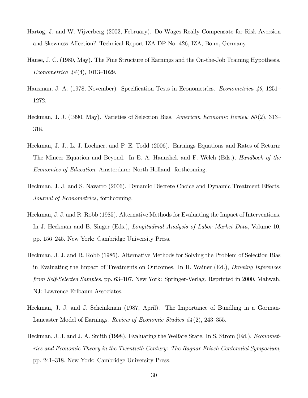- Hartog, J. and W. Vijverberg (2002, February). Do Wages Really Compensate for Risk Aversion and Skewness Affection? Technical Report IZA DP No. 426, IZA, Bonn, Germany.
- Hause, J. C. (1980, May). The Fine Structure of Earnings and the On-the-Job Training Hypothesis. Econometrica 48(4), 1013—1029.
- Hausman, J. A. (1978, November). Specification Tests in Econometrics. Econometrica 46, 1251— 1272.
- Heckman, J. J. (1990, May). Varieties of Selection Bias. American Economic Review  $80(2)$ , 313– 318.
- Heckman, J. J., L. J. Lochner, and P. E. Todd (2006). Earnings Equations and Rates of Return: The Mincer Equation and Beyond. In E. A. Hanushek and F. Welch (Eds.), *Handbook of the* Economics of Education. Amsterdam: North-Holland. forthcoming.
- Heckman, J. J. and S. Navarro (2006). Dynamic Discrete Choice and Dynamic Treatment Effects. Journal of Econometrics, forthcoming.
- Heckman, J. J. and R. Robb (1985). Alternative Methods for Evaluating the Impact of Interventions. In J. Heckman and B. Singer (Eds.), Longitudinal Analysis of Labor Market Data, Volume 10, pp. 156—245. New York: Cambridge University Press.
- Heckman, J. J. and R. Robb (1986). Alternative Methods for Solving the Problem of Selection Bias in Evaluating the Impact of Treatments on Outcomes. In H. Wainer (Ed.), Drawing Inferences from Self-Selected Samples, pp. 63—107. New York: Springer-Verlag. Reprinted in 2000, Mahwah, NJ: Lawrence Erlbaum Associates.
- Heckman, J. J. and J. Scheinkman (1987, April). The Importance of Bundling in a Gorman-Lancaster Model of Earnings. Review of Economic Studies 54(2), 243—355.
- Heckman, J. J. and J. A. Smith (1998). Evaluating the Welfare State. In S. Strom (Ed.), Econometrics and Economic Theory in the Twentieth Century: The Ragnar Frisch Centennial Symposium, pp. 241—318. New York: Cambridge University Press.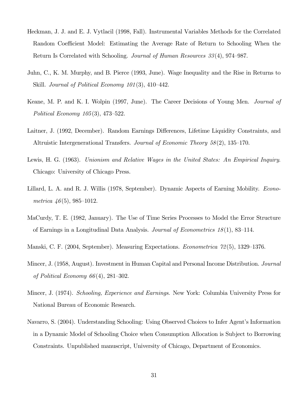- Heckman, J. J. and E. J. Vytlacil (1998, Fall). Instrumental Variables Methods for the Correlated Random Coefficient Model: Estimating the Average Rate of Return to Schooling When the Return Is Correlated with Schooling. Journal of Human Resources 33(4), 974—987.
- Juhn, C., K. M. Murphy, and B. Pierce (1993, June). Wage Inequality and the Rise in Returns to Skill. Journal of Political Economy 101(3), 410—442.
- Keane, M. P. and K. I. Wolpin (1997, June). The Career Decisions of Young Men. Journal of Political Economy 105(3), 473—522.
- Laitner, J. (1992, December). Random Earnings Differences, Lifetime Liquidity Constraints, and Altruistic Intergenerational Transfers. Journal of Economic Theory 58(2), 135—170.
- Lewis, H. G. (1963). Unionism and Relative Wages in the United States: An Empirical Inquiry. Chicago: University of Chicago Press.
- Lillard, L. A. and R. J. Willis (1978, September). Dynamic Aspects of Earning Mobility. Econometrica  $46(5)$ , 985-1012.
- MaCurdy, T. E. (1982, January). The Use of Time Series Processes to Model the Error Structure of Earnings in a Longitudinal Data Analysis. Journal of Econometrics 18(1), 83—114.
- Manski, C. F. (2004, September). Measuring Expectations. Econometrica 72(5), 1329—1376.
- Mincer, J. (1958, August). Investment in Human Capital and Personal Income Distribution. Journal of Political Economy  $66(4)$ , 281–302.
- Mincer, J. (1974). Schooling, Experience and Earnings. New York: Columbia University Press for National Bureau of Economic Research.
- Navarro, S. (2004). Understanding Schooling: Using Observed Choices to Infer Agent's Information in a Dynamic Model of Schooling Choice when Consumption Allocation is Subject to Borrowing Constraints. Unpublished manuscript, University of Chicago, Department of Economics.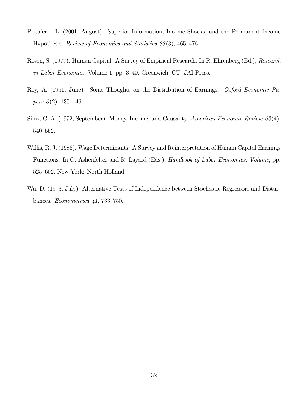- Pistaferri, L. (2001, August). Superior Information, Income Shocks, and the Permanent Income Hypothesis. Review of Economics and Statistics 83(3), 465—476.
- Rosen, S. (1977). Human Capital: A Survey of Empirical Research. In R. Ehrenberg (Ed.), Research in Labor Economics, Volume 1, pp. 3—40. Greenwich, CT: JAI Press.
- Roy, A. (1951, June). Some Thoughts on the Distribution of Earnings. Oxford Economic Pa*pers*  $3(2)$ , 135–146.
- Sims, C. A. (1972, September). Money, Income, and Causality. American Economic Review 62(4), 540—552.
- Willis, R. J. (1986). Wage Determinants: A Survey and Reinterpretation of Human Capital Earnings Functions. In O. Ashenfelter and R. Layard (Eds.), Handbook of Labor Economics, Volume, pp. 525—602. New York: North-Holland.
- Wu, D. (1973, July). Alternative Tests of Independence between Stochastic Regressors and Disturbances. Econometrica 41, 733—750.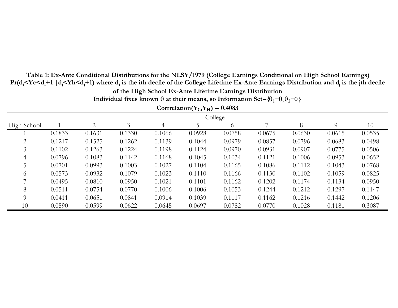| Corrrelation( $Y_C, Y_H$ ) = 0.4083 |        |        |        |        |        |          |        |        |          |        |
|-------------------------------------|--------|--------|--------|--------|--------|----------|--------|--------|----------|--------|
| College                             |        |        |        |        |        |          |        |        |          |        |
| High School                         |        | 2      | 3      | 4      | 5      | $\sigma$ |        | 8      | $\Omega$ | 10     |
|                                     | 0.1833 | 0.1631 | 0.1330 | 0.1066 | 0.0928 | 0.0758   | 0.0675 | 0.0630 | 0.0615   | 0.0535 |
| 2                                   | 0.1217 | 0.1525 | 0.1262 | 0.1139 | 0.1044 | 0.0979   | 0.0857 | 0.0796 | 0.0683   | 0.0498 |
|                                     | 0.1102 | 0.1263 | 0.1224 | 0.1198 | 0.1124 | 0.0970   | 0.0931 | 0.0907 | 0.0775   | 0.0506 |
| 4                                   | 0.0796 | 0.1083 | 0.1142 | 0.1168 | 0.1045 | 0.1034   | 0.1121 | 0.1006 | 0.0953   | 0.0652 |
|                                     | 0.0701 | 0.0993 | 0.1003 | 0.1027 | 0.1104 | 0.1165   | 0.1086 | 0.1112 | 0.1043   | 0.0768 |
| $\sigma$                            | 0.0573 | 0.0932 | 0.1079 | 0.1023 | 0.1110 | 0.1166   | 0.1130 | 0.1102 | 0.1059   | 0.0825 |
|                                     | 0.0495 | 0.0810 | 0.0950 | 0.1021 | 0.1101 | 0.1162   | 0.1202 | 0.1174 | 0.1134   | 0.0950 |
| 8                                   | 0.0511 | 0.0754 | 0.0770 | 0.1006 | 0.1006 | 0.1053   | 0.1244 | 0.1212 | 0.1297   | 0.1147 |
| 9                                   | 0.0411 | 0.0651 | 0.0841 | 0.0914 | 0.1039 | 0.1117   | 0.1162 | 0.1216 | 0.1442   | 0.1206 |
| 10                                  | 0.0590 | 0.0599 | 0.0622 | 0.0645 | 0.0697 | 0.0782   | 0.0770 | 0.1028 | 0.1181   | 0.3087 |

**of the High School Ex-Ante Lifetime Earnings Distribution**

**Pr(di<Yc<di+1 | dj<Yh<dj+1) where di is the ith decile of the Colle ge Lifetime Ex-Ante Earnin gs Distribution and dj is the jth decile** 

Individual fixes known  $\theta$  at their means, so Information Set={ $\theta_1$ = $0,\theta_2$ = $0\}$ 

**Table 1: Ex-Ante Conditional Distributions for the NLSY/1979 (College Earnings Conditional on High School Earnings)**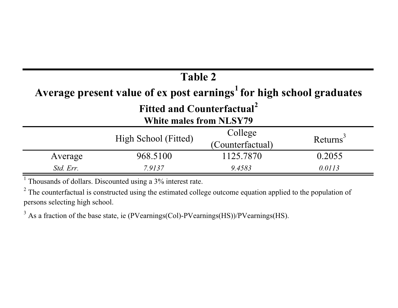## **Table 2 Average present value of ex post earnings<sup>1</sup> for high school graduates Fitted and Counterfactual<sup>2</sup> White males from NLSY79**

| $\mathbf{v}$ muy many n vm $\mathbf{v}$ nd $\mathbf{v}$ |                      |                  |                      |  |  |
|---------------------------------------------------------|----------------------|------------------|----------------------|--|--|
|                                                         | High School (Fitted) | College          | Returns <sup>3</sup> |  |  |
|                                                         |                      | (Counterfactual) |                      |  |  |
| Average                                                 | 968.5100             | 1125.7870        | 0.2055               |  |  |
| Std. Err.                                               | 7.9137               | 9.4583           | 0.0113               |  |  |

 $1$  Thousands of dollars. Discounted using a  $3\%$  interest rate.

<sup>2</sup> The counterfactual is constructed using the estimated college outcome equation applied to the population of persons selecting high school.

<sup>3</sup> As a fraction of the base state, ie (PVearnings(Col)-PVearnings(HS))/PVearnings(HS).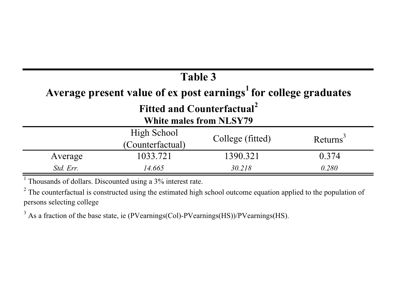# **Table 3 Average present value of ex post earnings<sup>1</sup> for college graduates**

## **Fitted and Counterfactual<sup>2</sup>**

|  |  |  |  | White males from NLSY79 |
|--|--|--|--|-------------------------|
|--|--|--|--|-------------------------|

|           | High School<br>(Counterfactual) | College (fitted) | Returns |
|-----------|---------------------------------|------------------|---------|
| Average   | 1033.721                        | 1390.321         | 0.374   |
| Std. Err. | 14.665                          | 30.218           | 0.280   |

 $1$  Thousands of dollars. Discounted using a  $3\%$  interest rate.

 $2$  The counterfactual is constructed using the estimated high school outcome equation applied to the population of persons selecting college

<sup>3</sup> As a fraction of the base state, ie (PVearnings(Col)-PVearnings(HS))/PVearnings(HS).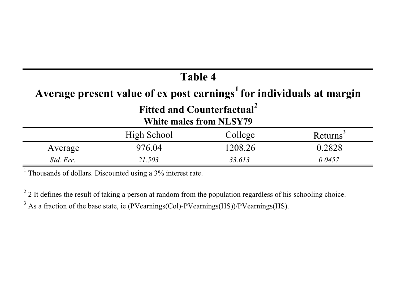## **Table 4**

## **Average present value of ex post earnings<sup>1</sup> for individuals at margin**

## **Fitted and Counterfactual<sup>2</sup>**

### **White males from NLSY79**

|           | High School | College | Returns |
|-----------|-------------|---------|---------|
| Average   | 976.04      | 1208.26 | 0.2828  |
| Std. Err. | 21.503      | 33.613  | 0.0457  |

 $1$  Thousands of dollars. Discounted using a  $3\%$  interest rate.

 $2$  2 It defines the result of taking a person at random from the population regardless of his schooling choice.

 $3$  As a fraction of the base state, ie (PVearnings(Col)-PVearnings(HS))/PVearnings(HS).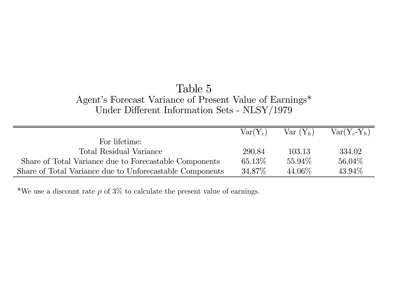### Table 5 Agent's Forecast Variance of Present Value of Earnings\* Under Different Information Sets - NLSY/1979

|                                                          | $Var(Y_c)$ | $Var(Y_h)$ | $Var(Y_c-Y_h)$ |
|----------------------------------------------------------|------------|------------|----------------|
| For lifetime:                                            |            |            |                |
| Total Residual Variance                                  | 290.84     | 103.13     | 334.02         |
| Share of Total Variance due to Forecastable Components   | $65.13\%$  | 55.94\%    | $56.04\%$      |
| Share of Total Variance due to Unforecastable Components | 34.87\%    | 44.06\%    | $43.94\%$      |

\*We use a discount rate  $\rho$  of 3% to calculate the present value of earnings.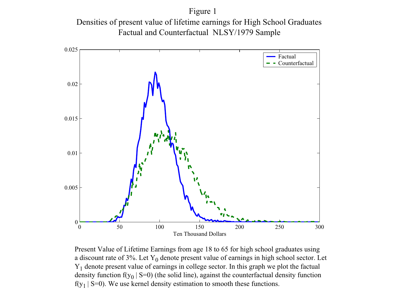Figure 1 Densities of presen<sup>t</sup> value of lifetime earnings for High School Graduates Factual and Counterfactual NLSY/1979 Sample



Present Value of Lifetime Earnings from age 18 to 65 for high school graduates using a discount rate of 3%. Let  $Y_0$  denote present value of earnings in high school sector. Let  $Y_1$  denote present value of earnings in college sector. In this graph we plot the factual density function  $f(y_0 | S=0)$  (the solid line), against the counterfactual density function  $f(y_1 | S=0)$ . We use kernel density estimation to smooth these functions.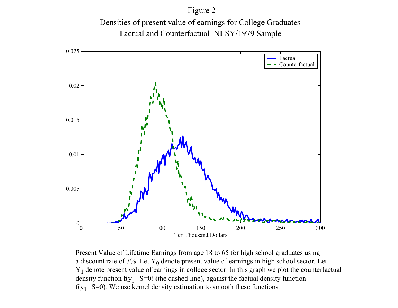Figure 2

Densities of presen<sup>t</sup> value of earnings for College Graduates Factual and Counterfactual NLSY/1979 Sample



Present Value of Lifetime Earnings from age 18 to 65 for high school graduates using a discount rate of 3%. Let  $Y_0$  denote present value of earnings in high school sector. Let  $Y_1$  denote present value of earnings in college sector. In this graph we plot the counterfactual density function  $f(y_1 | S=0)$  (the dashed line), against the factual density function  $f(y_1 | S=0)$ . We use kernel density estimation to smooth these functions.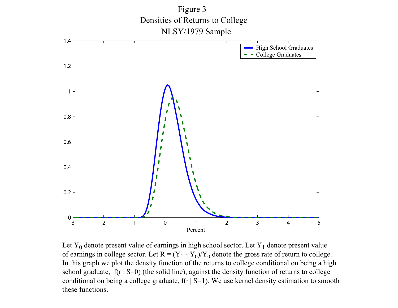

Let  $Y_0$  denote present value of earnings in high school sector. Let  $Y_1$  denote present value of earnings in college sector. Let  $R = (Y_1 - Y_0)/Y_0$  denote the gross rate of return to college. In this graph we plot the density function of the returns to college conditional on being <sup>a</sup> high school graduate,  $f(r \mid S=0)$  (the solid line), against the density function of returns to college conditional on being a college graduate,  $f(r | S=1)$ . We use kernel density estimation to smooth these functions.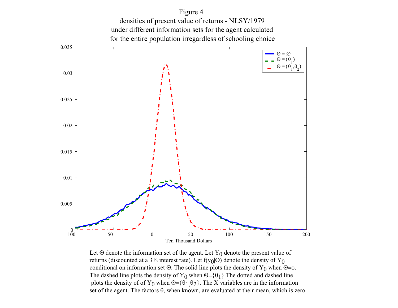

Figure 4 densities of presen<sup>t</sup> value of returns - NLSY/1979

Ten Thousand Dollars Let  $\Theta$  denote the information set of the agent. Let Y<sub>0</sub> denote the present value of returns (discounted at a 3% interest rate). Let  $f(y_0|\Theta)$  denote the density of  $Y_0$ conditional on information set Θ. The solid line plots the density of  $Y_0$  when Θ=φ.

The dashed line plots the density of Y<sub>0</sub> when  $\Theta = {\theta_1}$ . The dotted and dashed line plots the density of of Y<sub>0</sub> when  $\Theta = {\theta_1, \theta_2}$ . The X variables are in the information set of the agent. The factors  $\theta$ , when known, are evaluated at their mean, which is zero.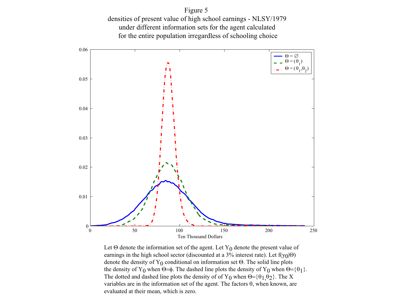Figure 5

densities of presen<sup>t</sup> value of high school earnings - NLSY/1979 under different information sets for the agen<sup>t</sup> calculated for the entire population irregardless of schooling choice



Let  $\Theta$  denote the information set of the agent. Let Y<sub>0</sub> denote the present value of earnings in the high school sector (discounted at a 3% interest rate). Let  $f(y_0|\Theta)$ denote the density of  $Y_0$  conditional on information set  $\Theta$ . The solid line plots the density of Y<sub>0</sub> when Θ=φ. The dashed line plots the density of Y<sub>0</sub> when Θ={θ<sub>1</sub>}. The dotted and dashed line plots the density of of Y<sub>0</sub> when Θ={θ<sub>1</sub> θ<sub>2</sub>}. The X variables are in the information set of the agent. The factors θ, when known, are evaluated at their mean, which is zero.